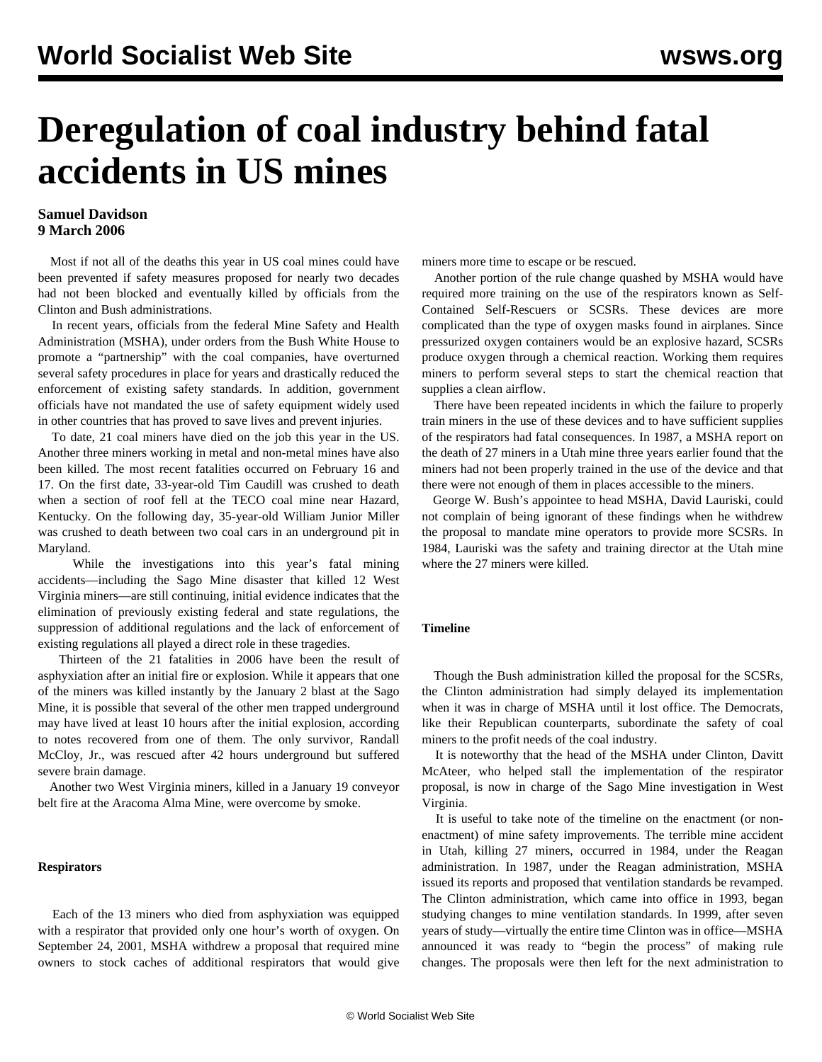# **Deregulation of coal industry behind fatal accidents in US mines**

## **Samuel Davidson 9 March 2006**

 Most if not all of the deaths this year in US coal mines could have been prevented if safety measures proposed for nearly two decades had not been blocked and eventually killed by officials from the Clinton and Bush administrations.

 In recent years, officials from the federal Mine Safety and Health Administration (MSHA), under orders from the Bush White House to promote a "partnership" with the coal companies, have overturned several safety procedures in place for years and drastically reduced the enforcement of existing safety standards. In addition, government officials have not mandated the use of safety equipment widely used in other countries that has proved to save lives and prevent injuries.

 To date, 21 coal miners have died on the job this year in the US. Another three miners working in metal and non-metal mines have also been killed. The most recent fatalities occurred on February 16 and 17. On the first date, 33-year-old Tim Caudill was crushed to death when a section of roof fell at the TECO coal mine near Hazard, Kentucky. On the following day, 35-year-old William Junior Miller was crushed to death between two coal cars in an underground pit in Maryland.

 While the investigations into this year's fatal mining accidents—including the Sago Mine disaster that killed 12 West Virginia miners—are still continuing, initial evidence indicates that the elimination of previously existing federal and state regulations, the suppression of additional regulations and the lack of enforcement of existing regulations all played a direct role in these tragedies.

 Thirteen of the 21 fatalities in 2006 have been the result of asphyxiation after an initial fire or explosion. While it appears that one of the miners was killed instantly by the January 2 blast at the Sago Mine, it is possible that several of the other men trapped underground may have lived at least 10 hours after the initial explosion, according to notes recovered from one of them. The only survivor, Randall McCloy, Jr., was rescued after 42 hours underground but suffered severe brain damage.

 Another two West Virginia miners, killed in a January 19 conveyor belt fire at the Aracoma Alma Mine, were overcome by smoke.

#### **Respirators**

 Each of the 13 miners who died from asphyxiation was equipped with a respirator that provided only one hour's worth of oxygen. On September 24, 2001, MSHA withdrew a proposal that required mine owners to stock caches of additional respirators that would give

miners more time to escape or be rescued.

 Another portion of the rule change quashed by MSHA would have required more training on the use of the respirators known as Self-Contained Self-Rescuers or SCSRs. These devices are more complicated than the type of oxygen masks found in airplanes. Since pressurized oxygen containers would be an explosive hazard, SCSRs produce oxygen through a chemical reaction. Working them requires miners to perform several steps to start the chemical reaction that supplies a clean airflow.

 There have been repeated incidents in which the failure to properly train miners in the use of these devices and to have sufficient supplies of the respirators had fatal consequences. In 1987, a MSHA report on the death of 27 miners in a Utah mine three years earlier found that the miners had not been properly trained in the use of the device and that there were not enough of them in places accessible to the miners.

 George W. Bush's appointee to head MSHA, David Lauriski, could not complain of being ignorant of these findings when he withdrew the proposal to mandate mine operators to provide more SCSRs. In 1984, Lauriski was the safety and training director at the Utah mine where the 27 miners were killed.

### **Timeline**

 Though the Bush administration killed the proposal for the SCSRs, the Clinton administration had simply delayed its implementation when it was in charge of MSHA until it lost office. The Democrats, like their Republican counterparts, subordinate the safety of coal miners to the profit needs of the coal industry.

 It is noteworthy that the head of the MSHA under Clinton, Davitt McAteer, who helped stall the implementation of the respirator proposal, is now in charge of the Sago Mine investigation in West Virginia.

 It is useful to take note of the timeline on the enactment (or nonenactment) of mine safety improvements. The terrible mine accident in Utah, killing 27 miners, occurred in 1984, under the Reagan administration. In 1987, under the Reagan administration, MSHA issued its reports and proposed that ventilation standards be revamped. The Clinton administration, which came into office in 1993, began studying changes to mine ventilation standards. In 1999, after seven years of study—virtually the entire time Clinton was in office—MSHA announced it was ready to "begin the process" of making rule changes. The proposals were then left for the next administration to